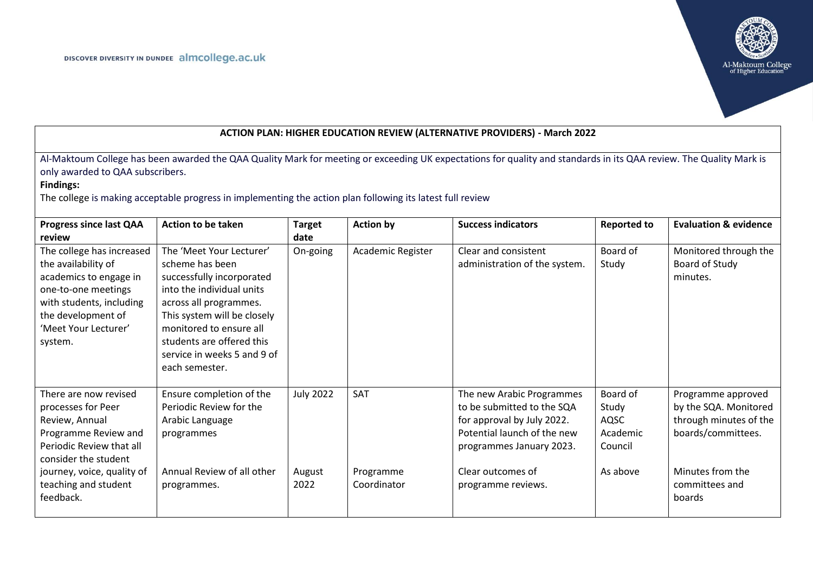

| <b>ACTION PLAN: HIGHER EDUCATION REVIEW (ALTERNATIVE PROVIDERS) - March 2022</b>                                                                                                                                                                                                                                                         |                                                                                                                                                                                                                                                                         |                       |                          |                                                                                                                                                  |                                                  |                                                                                             |  |
|------------------------------------------------------------------------------------------------------------------------------------------------------------------------------------------------------------------------------------------------------------------------------------------------------------------------------------------|-------------------------------------------------------------------------------------------------------------------------------------------------------------------------------------------------------------------------------------------------------------------------|-----------------------|--------------------------|--------------------------------------------------------------------------------------------------------------------------------------------------|--------------------------------------------------|---------------------------------------------------------------------------------------------|--|
| Al-Maktoum College has been awarded the QAA Quality Mark for meeting or exceeding UK expectations for quality and standards in its QAA review. The Quality Mark is<br>only awarded to QAA subscribers.<br><b>Findings:</b><br>The college is making acceptable progress in implementing the action plan following its latest full review |                                                                                                                                                                                                                                                                         |                       |                          |                                                                                                                                                  |                                                  |                                                                                             |  |
| <b>Progress since last QAA</b><br>review                                                                                                                                                                                                                                                                                                 | Action to be taken                                                                                                                                                                                                                                                      | <b>Target</b><br>date | <b>Action by</b>         | <b>Success indicators</b>                                                                                                                        | <b>Reported to</b>                               | <b>Evaluation &amp; evidence</b>                                                            |  |
| The college has increased<br>the availability of<br>academics to engage in<br>one-to-one meetings<br>with students, including<br>the development of<br>'Meet Your Lecturer'<br>system.                                                                                                                                                   | The 'Meet Your Lecturer'<br>scheme has been<br>successfully incorporated<br>into the individual units<br>across all programmes.<br>This system will be closely<br>monitored to ensure all<br>students are offered this<br>service in weeks 5 and 9 of<br>each semester. | On-going              | Academic Register        | Clear and consistent<br>administration of the system.                                                                                            | Board of<br>Study                                | Monitored through the<br>Board of Study<br>minutes.                                         |  |
| There are now revised<br>processes for Peer<br>Review, Annual<br>Programme Review and<br>Periodic Review that all<br>consider the student                                                                                                                                                                                                | Ensure completion of the<br>Periodic Review for the<br>Arabic Language<br>programmes                                                                                                                                                                                    | <b>July 2022</b>      | <b>SAT</b>               | The new Arabic Programmes<br>to be submitted to the SQA<br>for approval by July 2022.<br>Potential launch of the new<br>programmes January 2023. | Board of<br>Study<br>AQSC<br>Academic<br>Council | Programme approved<br>by the SQA. Monitored<br>through minutes of the<br>boards/committees. |  |
| journey, voice, quality of<br>teaching and student<br>feedback.                                                                                                                                                                                                                                                                          | Annual Review of all other<br>programmes.                                                                                                                                                                                                                               | August<br>2022        | Programme<br>Coordinator | Clear outcomes of<br>programme reviews.                                                                                                          | As above                                         | Minutes from the<br>committees and<br>boards                                                |  |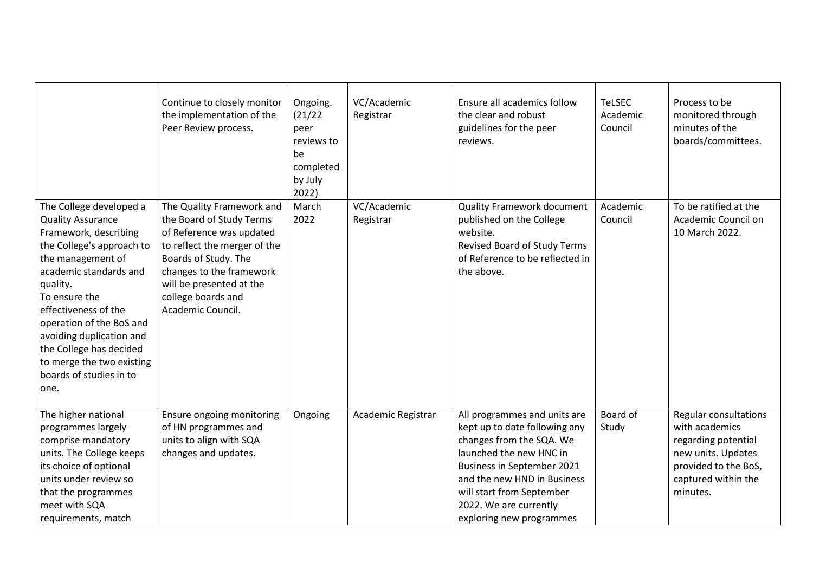|                                                                                                                                                                                                                                                                                                                                                                  | Continue to closely monitor<br>the implementation of the<br>Peer Review process.                                                                                                                                                             | Ongoing.<br>(21/22)<br>peer<br>reviews to<br>be<br>completed<br>by July<br>2022) | VC/Academic<br>Registrar | Ensure all academics follow<br>the clear and robust<br>guidelines for the peer<br>reviews.                                                                                                                                                                           | <b>TeLSEC</b><br>Academic<br>Council | Process to be<br>monitored through<br>minutes of the<br>boards/committees.                                                                      |
|------------------------------------------------------------------------------------------------------------------------------------------------------------------------------------------------------------------------------------------------------------------------------------------------------------------------------------------------------------------|----------------------------------------------------------------------------------------------------------------------------------------------------------------------------------------------------------------------------------------------|----------------------------------------------------------------------------------|--------------------------|----------------------------------------------------------------------------------------------------------------------------------------------------------------------------------------------------------------------------------------------------------------------|--------------------------------------|-------------------------------------------------------------------------------------------------------------------------------------------------|
| The College developed a<br><b>Quality Assurance</b><br>Framework, describing<br>the College's approach to<br>the management of<br>academic standards and<br>quality.<br>To ensure the<br>effectiveness of the<br>operation of the BoS and<br>avoiding duplication and<br>the College has decided<br>to merge the two existing<br>boards of studies in to<br>one. | The Quality Framework and<br>the Board of Study Terms<br>of Reference was updated<br>to reflect the merger of the<br>Boards of Study. The<br>changes to the framework<br>will be presented at the<br>college boards and<br>Academic Council. | March<br>2022                                                                    | VC/Academic<br>Registrar | <b>Quality Framework document</b><br>published on the College<br>website.<br>Revised Board of Study Terms<br>of Reference to be reflected in<br>the above.                                                                                                           | Academic<br>Council                  | To be ratified at the<br>Academic Council on<br>10 March 2022.                                                                                  |
| The higher national<br>programmes largely<br>comprise mandatory<br>units. The College keeps<br>its choice of optional<br>units under review so<br>that the programmes<br>meet with SQA<br>requirements, match                                                                                                                                                    | Ensure ongoing monitoring<br>of HN programmes and<br>units to align with SQA<br>changes and updates.                                                                                                                                         | Ongoing                                                                          | Academic Registrar       | All programmes and units are<br>kept up to date following any<br>changes from the SQA. We<br>launched the new HNC in<br>Business in September 2021<br>and the new HND in Business<br>will start from September<br>2022. We are currently<br>exploring new programmes | Board of<br>Study                    | Regular consultations<br>with academics<br>regarding potential<br>new units. Updates<br>provided to the BoS,<br>captured within the<br>minutes. |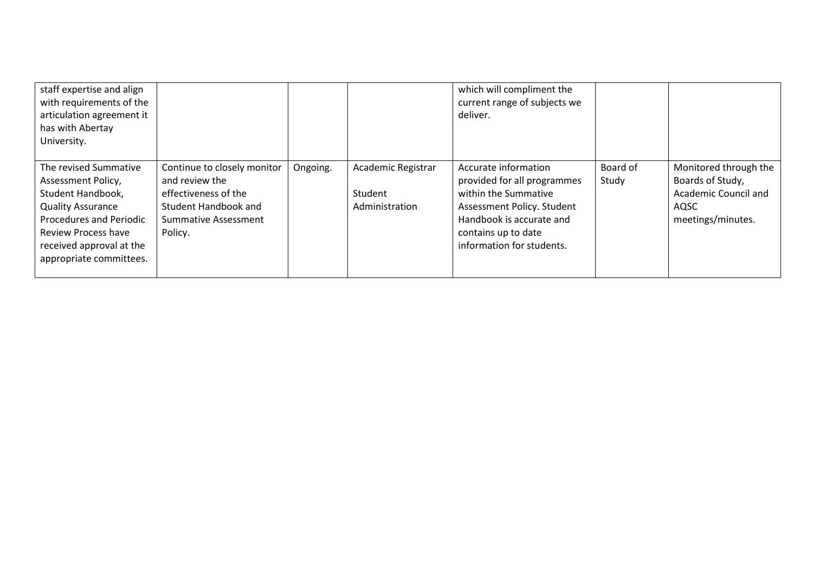| staff expertise and align<br>with requirements of the<br>articulation agreement it<br>has with Abertay<br>University.                                                                                        |                                                                                                                                         |          |                                                 | which will compliment the<br>current range of subjects we<br>deliver.                                                                                                                     |                   |                                                                                                |
|--------------------------------------------------------------------------------------------------------------------------------------------------------------------------------------------------------------|-----------------------------------------------------------------------------------------------------------------------------------------|----------|-------------------------------------------------|-------------------------------------------------------------------------------------------------------------------------------------------------------------------------------------------|-------------------|------------------------------------------------------------------------------------------------|
| The revised Summative<br>Assessment Policy,<br>Student Handbook,<br><b>Quality Assurance</b><br><b>Procedures and Periodic</b><br>Review Process have<br>received approval at the<br>appropriate committees. | Continue to closely monitor<br>and review the<br>effectiveness of the<br><b>Student Handbook and</b><br>Summative Assessment<br>Policy. | Ongoing. | Academic Registrar<br>Student<br>Administration | Accurate information<br>provided for all programmes<br>within the Summative<br>Assessment Policy. Student<br>Handbook is accurate and<br>contains up to date<br>information for students. | Board of<br>Study | Monitored through the<br>Boards of Study,<br>Academic Council and<br>AQSC<br>meetings/minutes. |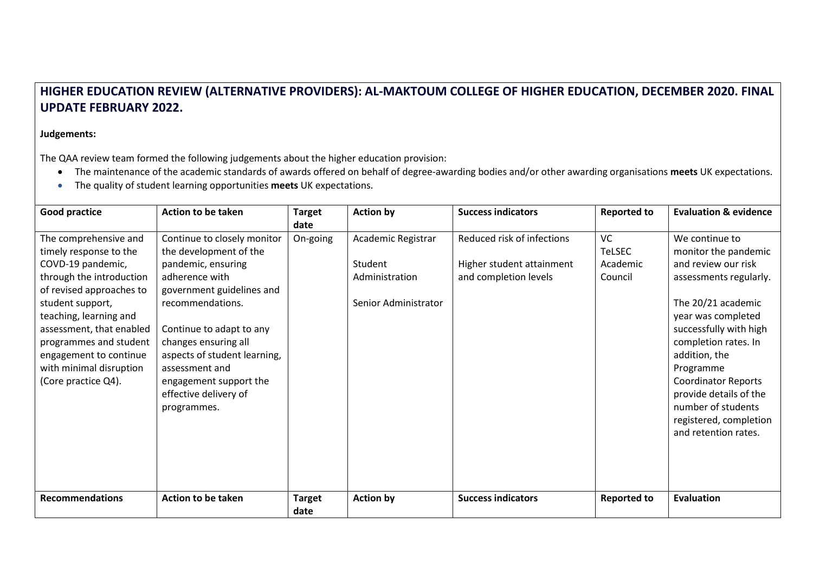## **HIGHER EDUCATION REVIEW (ALTERNATIVE PROVIDERS): AL-MAKTOUM COLLEGE OF HIGHER EDUCATION, DECEMBER 2020. FINAL UPDATE FEBRUARY 2022.**

## **Judgements:**

The QAA review team formed the following judgements about the higher education provision:

- The maintenance of the academic standards of awards offered on behalf of degree-awarding bodies and/or other awarding organisations **meets** UK expectations.
- The quality of student learning opportunities **meets** UK expectations.

| <b>Good practice</b>                                                                                                                                                                                                                                                                                         | Action to be taken                                                                                                                                                                                                                                                                                                     | <b>Target</b>         | <b>Action by</b>                                                        | <b>Success indicators</b>                                                        | <b>Reported to</b>                                | <b>Evaluation &amp; evidence</b>                                                                                                                                                                                                                                                                                                                    |
|--------------------------------------------------------------------------------------------------------------------------------------------------------------------------------------------------------------------------------------------------------------------------------------------------------------|------------------------------------------------------------------------------------------------------------------------------------------------------------------------------------------------------------------------------------------------------------------------------------------------------------------------|-----------------------|-------------------------------------------------------------------------|----------------------------------------------------------------------------------|---------------------------------------------------|-----------------------------------------------------------------------------------------------------------------------------------------------------------------------------------------------------------------------------------------------------------------------------------------------------------------------------------------------------|
| The comprehensive and<br>timely response to the<br>COVD-19 pandemic,<br>through the introduction<br>of revised approaches to<br>student support,<br>teaching, learning and<br>assessment, that enabled<br>programmes and student<br>engagement to continue<br>with minimal disruption<br>(Core practice Q4). | Continue to closely monitor<br>the development of the<br>pandemic, ensuring<br>adherence with<br>government guidelines and<br>recommendations.<br>Continue to adapt to any<br>changes ensuring all<br>aspects of student learning,<br>assessment and<br>engagement support the<br>effective delivery of<br>programmes. | date<br>On-going      | Academic Registrar<br>Student<br>Administration<br>Senior Administrator | Reduced risk of infections<br>Higher student attainment<br>and completion levels | <b>VC</b><br><b>TeLSEC</b><br>Academic<br>Council | We continue to<br>monitor the pandemic<br>and review our risk<br>assessments regularly.<br>The 20/21 academic<br>year was completed<br>successfully with high<br>completion rates. In<br>addition, the<br>Programme<br><b>Coordinator Reports</b><br>provide details of the<br>number of students<br>registered, completion<br>and retention rates. |
| <b>Recommendations</b>                                                                                                                                                                                                                                                                                       | <b>Action to be taken</b>                                                                                                                                                                                                                                                                                              | <b>Target</b><br>date | <b>Action by</b>                                                        | <b>Success indicators</b>                                                        | <b>Reported to</b>                                | <b>Evaluation</b>                                                                                                                                                                                                                                                                                                                                   |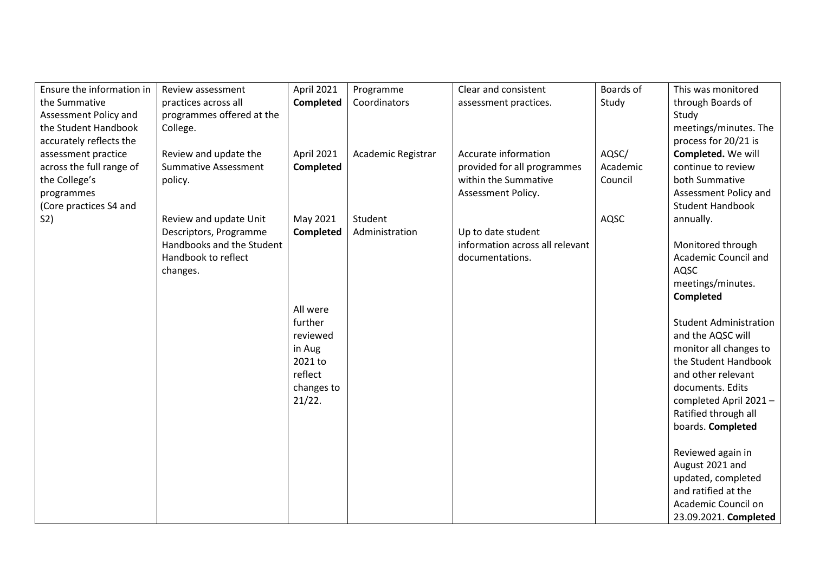| Ensure the information in | Review assessment           | April 2021          | Programme          | Clear and consistent            | Boards of | This was monitored            |
|---------------------------|-----------------------------|---------------------|--------------------|---------------------------------|-----------|-------------------------------|
| the Summative             | practices across all        | Completed           | Coordinators       | assessment practices.           | Study     | through Boards of             |
| Assessment Policy and     | programmes offered at the   |                     |                    |                                 |           | Study                         |
| the Student Handbook      | College.                    |                     |                    |                                 |           | meetings/minutes. The         |
| accurately reflects the   |                             |                     |                    |                                 |           | process for 20/21 is          |
| assessment practice       | Review and update the       | April 2021          | Academic Registrar | Accurate information            | AQSC/     | Completed. We will            |
| across the full range of  | <b>Summative Assessment</b> | Completed           |                    | provided for all programmes     | Academic  | continue to review            |
| the College's             | policy.                     |                     |                    | within the Summative            | Council   | both Summative                |
| programmes                |                             |                     |                    | Assessment Policy.              |           | Assessment Policy and         |
| (Core practices S4 and    |                             |                     |                    |                                 |           | <b>Student Handbook</b>       |
| S <sub>2</sub>            | Review and update Unit      | May 2021            | Student            |                                 | AQSC      | annually.                     |
|                           | Descriptors, Programme      | Completed           | Administration     | Up to date student              |           |                               |
|                           | Handbooks and the Student   |                     |                    | information across all relevant |           | Monitored through             |
|                           | Handbook to reflect         |                     |                    | documentations.                 |           | Academic Council and          |
|                           | changes.                    |                     |                    |                                 |           | AQSC                          |
|                           |                             |                     |                    |                                 |           | meetings/minutes.             |
|                           |                             |                     |                    |                                 |           | <b>Completed</b>              |
|                           |                             | All were<br>further |                    |                                 |           | <b>Student Administration</b> |
|                           |                             | reviewed            |                    |                                 |           | and the AQSC will             |
|                           |                             | in Aug              |                    |                                 |           | monitor all changes to        |
|                           |                             | 2021 to             |                    |                                 |           | the Student Handbook          |
|                           |                             | reflect             |                    |                                 |           | and other relevant            |
|                           |                             | changes to          |                    |                                 |           | documents. Edits              |
|                           |                             | 21/22.              |                    |                                 |           | completed April 2021-         |
|                           |                             |                     |                    |                                 |           | Ratified through all          |
|                           |                             |                     |                    |                                 |           | boards. Completed             |
|                           |                             |                     |                    |                                 |           |                               |
|                           |                             |                     |                    |                                 |           | Reviewed again in             |
|                           |                             |                     |                    |                                 |           | August 2021 and               |
|                           |                             |                     |                    |                                 |           | updated, completed            |
|                           |                             |                     |                    |                                 |           | and ratified at the           |
|                           |                             |                     |                    |                                 |           | Academic Council on           |
|                           |                             |                     |                    |                                 |           | 23.09.2021. Completed         |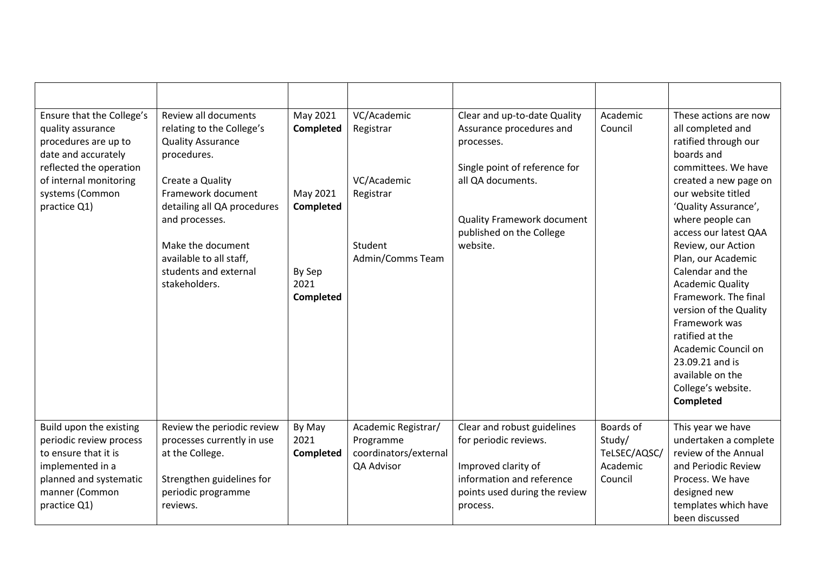| Ensure that the College's<br>quality assurance<br>procedures are up to<br>date and accurately<br>reflected the operation<br>of internal monitoring<br>systems (Common<br>practice Q1) | Review all documents<br>relating to the College's<br><b>Quality Assurance</b><br>procedures.<br>Create a Quality<br>Framework document<br>detailing all QA procedures<br>and processes.<br>Make the document<br>available to all staff,<br>students and external<br>stakeholders. | May 2021<br><b>Completed</b><br>May 2021<br><b>Completed</b><br>By Sep<br>2021<br><b>Completed</b> | VC/Academic<br>Registrar<br>VC/Academic<br>Registrar<br>Student<br>Admin/Comms Team | Clear and up-to-date Quality<br>Assurance procedures and<br>processes.<br>Single point of reference for<br>all QA documents.<br><b>Quality Framework document</b><br>published on the College<br>website. | Academic<br>Council                                        | These actions are now<br>all completed and<br>ratified through our<br>boards and<br>committees. We have<br>created a new page on<br>our website titled<br>'Quality Assurance',<br>where people can<br>access our latest QAA<br>Review, our Action<br>Plan, our Academic<br>Calendar and the<br><b>Academic Quality</b><br>Framework. The final<br>version of the Quality<br>Framework was<br>ratified at the<br>Academic Council on<br>23.09.21 and is<br>available on the<br>College's website.<br>Completed |
|---------------------------------------------------------------------------------------------------------------------------------------------------------------------------------------|-----------------------------------------------------------------------------------------------------------------------------------------------------------------------------------------------------------------------------------------------------------------------------------|----------------------------------------------------------------------------------------------------|-------------------------------------------------------------------------------------|-----------------------------------------------------------------------------------------------------------------------------------------------------------------------------------------------------------|------------------------------------------------------------|---------------------------------------------------------------------------------------------------------------------------------------------------------------------------------------------------------------------------------------------------------------------------------------------------------------------------------------------------------------------------------------------------------------------------------------------------------------------------------------------------------------|
| Build upon the existing<br>periodic review process<br>to ensure that it is<br>implemented in a<br>planned and systematic<br>manner (Common<br>practice Q1)                            | Review the periodic review<br>processes currently in use<br>at the College.<br>Strengthen guidelines for<br>periodic programme<br>reviews.                                                                                                                                        | By May<br>2021<br>Completed                                                                        | Academic Registrar/<br>Programme<br>coordinators/external<br>QA Advisor             | Clear and robust guidelines<br>for periodic reviews.<br>Improved clarity of<br>information and reference<br>points used during the review<br>process.                                                     | Boards of<br>Study/<br>TeLSEC/AQSC/<br>Academic<br>Council | This year we have<br>undertaken a complete<br>review of the Annual<br>and Periodic Review<br>Process. We have<br>designed new<br>templates which have<br>been discussed                                                                                                                                                                                                                                                                                                                                       |